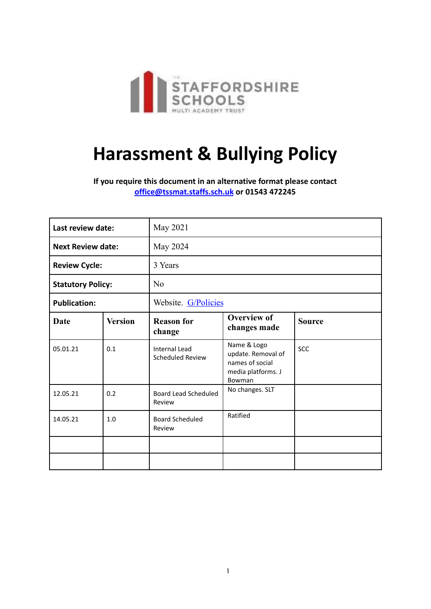

# **Harassment & Bullying Policy**

**If you require this document in an alternative format please contact [office@tssmat.staffs.sch.uk](mailto:office@tssmat.staffs.sch.uk) or 01543 472245**

| Last review date:        |                | May 2021                                        |                                                                                      |               |
|--------------------------|----------------|-------------------------------------------------|--------------------------------------------------------------------------------------|---------------|
| <b>Next Review date:</b> |                | May 2024                                        |                                                                                      |               |
| <b>Review Cycle:</b>     |                | 3 Years                                         |                                                                                      |               |
| <b>Statutory Policy:</b> |                | N <sub>0</sub>                                  |                                                                                      |               |
| <b>Publication:</b>      |                | Website. G/Policies                             |                                                                                      |               |
| <b>Date</b>              | <b>Version</b> | <b>Reason for</b><br>change                     | <b>Overview of</b><br>changes made                                                   | <b>Source</b> |
| 05.01.21                 | 0.1            | <b>Internal Lead</b><br><b>Scheduled Review</b> | Name & Logo<br>update. Removal of<br>names of social<br>media platforms. J<br>Bowman | <b>SCC</b>    |
| 12.05.21                 | 0.2            | <b>Board Lead Scheduled</b><br>Review           | No changes. SLT                                                                      |               |
| 14.05.21                 | 1.0            | <b>Board Scheduled</b><br>Review                | Ratified                                                                             |               |
|                          |                |                                                 |                                                                                      |               |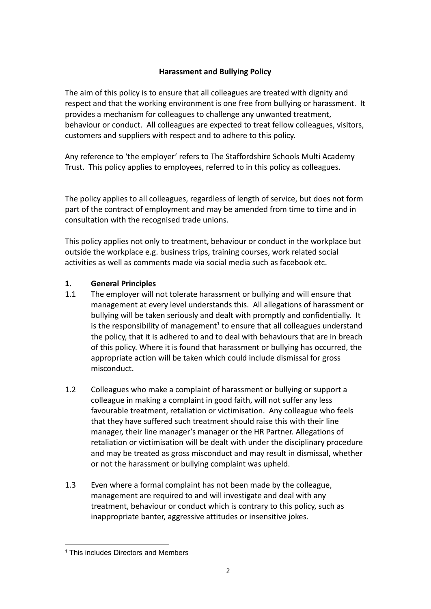# **Harassment and Bullying Policy**

The aim of this policy is to ensure that all colleagues are treated with dignity and respect and that the working environment is one free from bullying or harassment. It provides a mechanism for colleagues to challenge any unwanted treatment, behaviour or conduct. All colleagues are expected to treat fellow colleagues, visitors, customers and suppliers with respect and to adhere to this policy.

Any reference to 'the employer' refers to The Staffordshire Schools Multi Academy Trust. This policy applies to employees, referred to in this policy as colleagues.

The policy applies to all colleagues, regardless of length of service, but does not form part of the contract of employment and may be amended from time to time and in consultation with the recognised trade unions.

This policy applies not only to treatment, behaviour or conduct in the workplace but outside the workplace e.g. business trips, training courses, work related social activities as well as comments made via social media such as facebook etc.

# **1. General Principles**

- 1.1 The employer will not tolerate harassment or bullying and will ensure that management at every level understands this. All allegations of harassment or bullying will be taken seriously and dealt with promptly and confidentially. It is the responsibility of management<sup>1</sup> to ensure that all colleagues understand the policy, that it is adhered to and to deal with behaviours that are in breach of this policy. Where it is found that harassment or bullying has occurred, the appropriate action will be taken which could include dismissal for gross misconduct.
- 1.2 Colleagues who make a complaint of harassment or bullying or support a colleague in making a complaint in good faith, will not suffer any less favourable treatment, retaliation or victimisation. Any colleague who feels that they have suffered such treatment should raise this with their line manager, their line manager's manager or the HR Partner. Allegations of retaliation or victimisation will be dealt with under the disciplinary procedure and may be treated as gross misconduct and may result in dismissal, whether or not the harassment or bullying complaint was upheld.
- 1.3 Even where a formal complaint has not been made by the colleague, management are required to and will investigate and deal with any treatment, behaviour or conduct which is contrary to this policy, such as inappropriate banter, aggressive attitudes or insensitive jokes.

<sup>&</sup>lt;sup>1</sup> This includes Directors and Members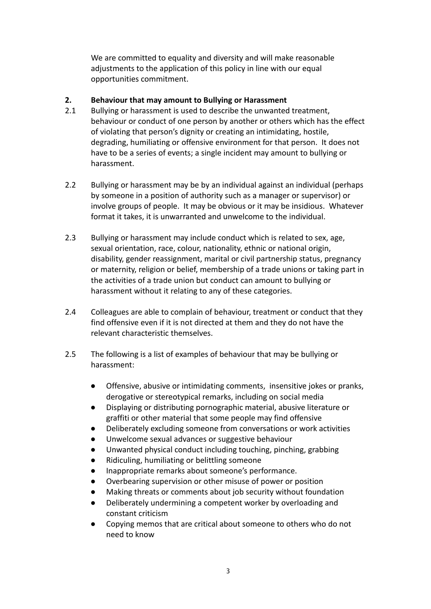We are committed to equality and diversity and will make reasonable adjustments to the application of this policy in line with our equal opportunities commitment.

## **2. Behaviour that may amount to Bullying or Harassment**

- 2.1 Bullying or harassment is used to describe the unwanted treatment, behaviour or conduct of one person by another or others which has the effect of violating that person's dignity or creating an intimidating, hostile, degrading, humiliating or offensive environment for that person. It does not have to be a series of events; a single incident may amount to bullying or harassment.
- 2.2 Bullying or harassment may be by an individual against an individual (perhaps by someone in a position of authority such as a manager or supervisor) or involve groups of people. It may be obvious or it may be insidious. Whatever format it takes, it is unwarranted and unwelcome to the individual.
- 2.3 Bullying or harassment may include conduct which is related to sex, age, sexual orientation, race, colour, nationality, ethnic or national origin, disability, gender reassignment, marital or civil partnership status, pregnancy or maternity, religion or belief, membership of a trade unions or taking part in the activities of a trade union but conduct can amount to bullying or harassment without it relating to any of these categories.
- 2.4 Colleagues are able to complain of behaviour, treatment or conduct that they find offensive even if it is not directed at them and they do not have the relevant characteristic themselves.
- 2.5 The following is a list of examples of behaviour that may be bullying or harassment:
	- Offensive, abusive or intimidating comments, insensitive jokes or pranks, derogative or stereotypical remarks, including on social media
	- Displaying or distributing pornographic material, abusive literature or graffiti or other material that some people may find offensive
	- Deliberately excluding someone from conversations or work activities
	- Unwelcome sexual advances or suggestive behaviour
	- Unwanted physical conduct including touching, pinching, grabbing
	- Ridiculing, humiliating or belittling someone
	- Inappropriate remarks about someone's performance.
	- Overbearing supervision or other misuse of power or position
	- Making threats or comments about job security without foundation
	- Deliberately undermining a competent worker by overloading and constant criticism
	- Copying memos that are critical about someone to others who do not need to know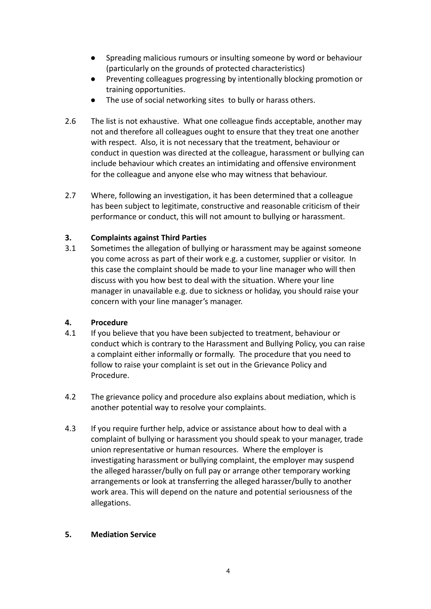- Spreading malicious rumours or insulting someone by word or behaviour (particularly on the grounds of protected characteristics)
- Preventing colleagues progressing by intentionally blocking promotion or training opportunities.
- The use of social networking sites to bully or harass others.
- 2.6 The list is not exhaustive. What one colleague finds acceptable, another may not and therefore all colleagues ought to ensure that they treat one another with respect. Also, it is not necessary that the treatment, behaviour or conduct in question was directed at the colleague, harassment or bullying can include behaviour which creates an intimidating and offensive environment for the colleague and anyone else who may witness that behaviour.
- 2.7 Where, following an investigation, it has been determined that a colleague has been subject to legitimate, constructive and reasonable criticism of their performance or conduct, this will not amount to bullying or harassment.

# **3. Complaints against Third Parties**

3.1 Sometimes the allegation of bullying or harassment may be against someone you come across as part of their work e.g. a customer, supplier or visitor. In this case the complaint should be made to your line manager who will then discuss with you how best to deal with the situation. Where your line manager in unavailable e.g. due to sickness or holiday, you should raise your concern with your line manager's manager.

# **4. Procedure**

- 4.1 If you believe that you have been subjected to treatment, behaviour or conduct which is contrary to the Harassment and Bullying Policy, you can raise a complaint either informally or formally. The procedure that you need to follow to raise your complaint is set out in the Grievance Policy and Procedure.
- 4.2 The grievance policy and procedure also explains about mediation, which is another potential way to resolve your complaints.
- 4.3 If you require further help, advice or assistance about how to deal with a complaint of bullying or harassment you should speak to your manager, trade union representative or human resources. Where the employer is investigating harassment or bullying complaint, the employer may suspend the alleged harasser/bully on full pay or arrange other temporary working arrangements or look at transferring the alleged harasser/bully to another work area. This will depend on the nature and potential seriousness of the allegations.

### **5. Mediation Service**